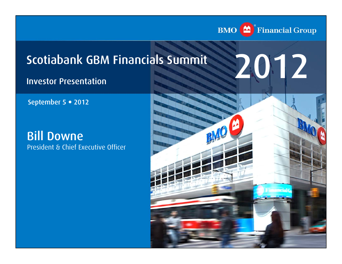

# Scotiabank GBM Financials Summit

### Investor Presentation

September 5 · 2012

Bill Downe President & Chief Executive Officer

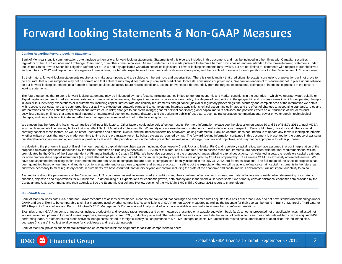# Forward Looking Statements & Non-GAAP Measures

#### **Caution Regarding Forward-Looking Statements**

Bank of Montreal's public communications often include written or oral forward-looking statements. Statements of this type are included in this document, and may be included in other filings with Canadian securities regulators or the U.S. Securities and Exchange Commission, or in other communications. All such statements are made pursuant to the "safe harbor" provisions of, and are intended to be forward-looking statements under, the United States Private Securities Litigation Reform Act of 1995 and any applicable Canadian securities legislation. Forward-looking statements may involve, but are not limited to, comments with respect to our objectives and priorities for 2012 and beyond, our strategies or future actions, our targets, expectations for our financial condition or share price, and the results of or outlook for our operations or for the Canadian and U.S. econ

By their nature, forward-looking statements require us to make assumptions and are subject to inherent risks and uncertainties. There is significant risk that predictions, forecasts, conclusions or projections will not pro be accurate, that our assumptions may not be correct and that actual results may differ materially from such predictions, forecasts, conclusions or projections. We caution readers of this document not to place undue relian on our forward-looking statements as a number of factors could cause actual future results, conditions, actions or events to differ materially from the targets, expectations, estimates or intentions expressed in the forwardlooking statements.

The future outcomes that relate to forward-looking statements may be influenced by many factors, including but not limited to: general economic and market conditions in the countries in which we operate; weak, volatile or illiquid capital and/or credit markets; interest rate and currency value fluctuations; changes in monetary, fiscal or economic policy; the degree of competition in the geographic and business areas in which we operate; cha in laws or in supervisory expectations or requirements, including capital, interest rate and liquidity requirements and guidance; judicial or regulatory proceedings; the accuracy and completeness of the information we obta with respect to our customers and counterparties; our ability to execute our strategic plans and to complete and integrate acquisitions; critical accounting estimates and the effect of changes to accounting standards, rule interpretations on these estimates; operational and infrastructure risks; changes to our credit ratings; general political conditions; global capital markets activities; the possible effects on our business of war or terro activities; disease or illness that affects local, national or international economies; natural disasters and disruptions to public infrastructure, such as transportation, communications, power or water supply; technological changes; and our ability to anticipate and effectively manage risks associated with all of the foregoing factors.

We caution that the foregoing list is not exhaustive of all possible factors. Other factors could adversely affect our results. For more information, please see the discussion on pages 30 and 31 of BMO's 2011 annual MD&A, which outlines in detail certain key factors that may affect Bank of Montreal's future results. When relying on forward-looking statements to make decisions with respect to Bank of Montreal, investors and others should carefully consider these factors, as well as other uncertainties and potential events, and the inherent uncertainty of forward-looking statements. Bank of Montreal does not undertake to update any forward-looking statement whether written or oral, that may be made from time to time by the organization or on its behalf, except as required by law. The forward-looking information contained in this document is presented for the purpose of assist our shareholders in understanding our financial position as at and for the periods ended on the dates presented, as well as our strategic priorities and objectives, and may not be appropriate for other purposes.

In calculating the pro-forma impact of Basel III on our regulatory capital, risk-weighted assets (including Counterparty Credit Risk and Market Risk) and regulatory capital ratios, we have assumed that our interpretation o proposed rules and proposals announced by the Basel Committee on Banking Supervision (BCBS) as of this date, and our models used to assess those requirements, are consistent with the final requirements that will be promulgated by the Office of the Superintendent of Financial Institutions Canada (OSFI). We have also assumed that the proposed changes affecting capital deductions, risk-weighted assets, the regulatory capital treatment for non-common share capital instruments (i.e. grandfathered capital instruments) and the minimum regulatory capital ratios are adopted by OSFI as proposed by BCBS, unless OSFI has expressly advised otherwise. We have also assumed that existing capital instruments that are non-Basel III compliant but are Basel II compliant can be fully included in the July 31, 2012, pro-forma calculations. The full impact of the Basel III proposals been quantified based on our financial and risk positions at quarter end or as close to quarter end as was practical. In setting out the expectation that we will be able to refinance certain capital instruments in the futu and when necessary to meet regulatory capital requirements, we have assumed that factors beyond our control, including the state of the economic and capital markets environment, will not impair our ability to do so.

Assumptions about the performance of the Canadian and U.S. economies, as well as overall market conditions and their combined effect on our business, are material factors we consider when determining our strategic priorities, objectives and expectations for our business. In determining our expectations for economic growth, both broadly and in the financial services sector, we primarily consider historical economic data provided by t Canadian and U.S. governments and their agencies. See the Economic Outlook and Review section of the MD&A in BMO's Third Quarter 2012 report to shareholders.

#### **Non-GAAP Measures**

Bank of Montreal uses both GAAP and non-GAAP measures to assess performance. Readers are cautioned that earnings and other measures adjusted to a basis other than GAAP do not have standardized meanings under GAAP and are unlikely to be comparable to similar measures used by other companies. Reconciliations of GAAP to non-GAAP measures as well as the rationale for their use can be found in Bank of Montreal's Third Quarter 2012 Report to Shareholders and Bank of Montreal's 2011 Management's Discussion and Analysis, all of which are available on our website at www.bmo.com/investorrelations.

Examples of non-GAAP amounts or measures include: productivity and leverage ratios; revenue and other measures presented on a taxable equivalent basis (teb); amounts presented net of applicable taxes; adjusted net income, revenues, provision for credit losses, expenses, earnings per share, ROE, productivity ratio and other adjusted measures which exclude the impact of certain items such as credit-related items on the acquired M&I performing loans, run-off structured credit activities, hedge costs related to foreign currency risk on purchase of M&I, M&I integration costs, M&I acquisition-related costs, amortization of acquisition-related intangibles decrease (increase) in collective allowance for credit losses and restructuring costs.

Bank of Montreal provides supplemental information on combined business segments to facilitate comparisons to peers.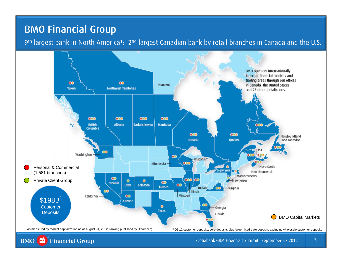## BMO Financial Group

9<sup>th</sup> largest bank in North America<sup>1</sup>; 2<sup>nd</sup> largest Canadian bank by retail branches in Canada and the U.S.

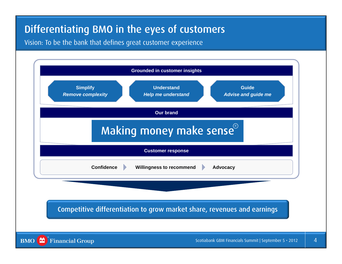# Differentiating BMO in the eyes of customers

Vision: To be the bank that defines great customer experience

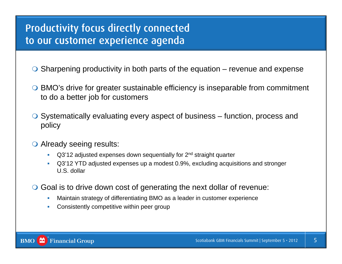## Productivity focus directly connected to our customer experience agenda

- $\bigcirc$  Sharpening productivity in both parts of the equation revenue and expense
- BMO's drive for greater sustainable efficiency is inseparable from commitment to do a better job for customers
- $\bigcirc$  Systematically evaluating every aspect of business function, process and policy
- O Already seeing results:
	- П  $Q3'12$  adjusted expenses down sequentially for  $2<sup>nd</sup>$  straight quarter
	- П Q3'12 YTD adjusted expenses up a modest 0.9%, excluding acquisitions and stronger U.S. dollar
- Goal is to drive down cost of generating the next dollar of revenue:
	- $\mathcal{C}$ Maintain strategy of differentiating BMO as a leader in customer experience
	- $\overline{\phantom{a}}$ Consistently competitive within peer group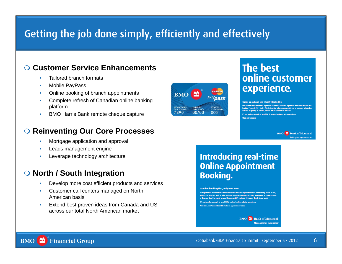## Getting the job done simply, efficiently and effectively

#### $\bigcirc$ **Customer Service Enhancements**

- г Tailored branch formats
- Г Mobile PayPass
- г Online booking of branch appointments
- E Complete refresh of Canadian online banking platform
- г BMO Harris Bank remote cheque capture

### **Reinventing Our Core Processes**

- г Mortgage application and approval
- Г Leads management engine
- г Leverage technology architecture

#### $\bigcirc$ **North / South Integration**

- г Develop more cost efficient products and services
- □ Customer call centers managed on North American basis
- г Extend best proven ideas from Canada and US across our total North American market



### **The best** online customer experience.

Check us out and see what #1 looks like.

om has been ranked the highest for best online customer experience in the Keynote Canadian spects 2011 study'. This designation reflects our commitment to customer satisfaction the ease of opening an account, and our Privacy and Security measures

It's just another example of how BMO\* is making banking a better experienc Check out hmo.com

> **BMO** Bank of Montreal Making monev make sens

### **Introducing real-time Online Appointment Booking.**

#### Another banking first, only from BMO.

BMO just made it easier to meet with one of our financial experts to discuss your banking needs. In fact, e very first bank to offer real-time Online Appointment Booking. Simply visit us online to book a date and time that works for you. It's easy, and it's available 24 hours a day, 7 days a week. It's just another example of how BMO is making banking a better experience Visit bmo.com/appointment to make an appointment toda

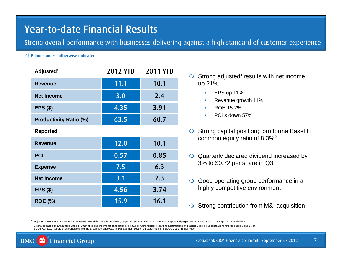## Year-to-date Financial Results

Strong overall performance with businesses delivering against a high standard of customer experience

#### C\$ Billions unless otherwise indicated

| Adjusted <sup>1</sup>         | <b>2012 YTD</b> | <b>2011 YTD</b> |
|-------------------------------|-----------------|-----------------|
| <b>Revenue</b>                | 11.1            | 10.1            |
| <b>Net Income</b>             | 3.0             | 2.4             |
| $EPS($ \$)                    | 4.35            | 3.91            |
| <b>Productivity Ratio (%)</b> | 63.5            | 60.7            |
| <b>Reported</b>               |                 |                 |
| <b>Revenue</b>                | 12.0            | 10.1            |
| <b>PCL</b>                    | 0.57            | 0.85            |
| <b>Expense</b>                | 7.5             | 6.3             |
| <b>Net Income</b>             | 3.1             | 2.3             |
| <b>EPS (\$)</b>               | 4.56            | 3.74            |
| <b>ROE (%)</b>                | 15.9            | 16.1            |

- $\bigcirc$  Strong adjusted<sup>1</sup> results with net income up 21%
	- $\mathcal{L}_{\mathcal{A}}$ EPS up 11%
	- п Revenue growth 11%
	- $\mathbf{m}$  . ROE 15.2%
	- PCLs down 57%
- **Strong capital position; pro forma Basel III** common equity ratio of 8.3%2
- Quarterly declared dividend increased by 3% to \$0.72 per share in Q3
- **Good operating group performance in a** highly competitive environment
- ◯ Strong contribution from M&I acquisition

1 Adjusted measures are non-GAAP measures. See slide 2 of this document, pages 34, 94-95 of BMO's 2011 Annual Report and pages 32-33 of BMO's Q3 2012 Report to Shareholders

<sup>2</sup> Estimates based on announced Basel III 2019 rules and the impact of adoption of IFRS. For further details regarding assumptions and factors used in our calculations refer to pages 6 and 16 of BMO's Q3 2012 Report to Shareholders and the Enterprise-Wide Capital Management section on pages 61-65 in BMO's 2011 Annual Report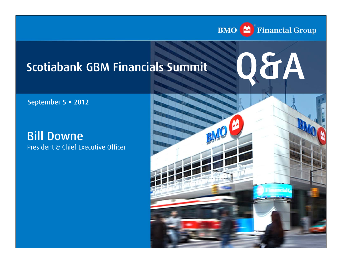

# Scotiabank GBM Financials Summit



September 5 · 2012

Bill Downe President & Chief Executive Officer